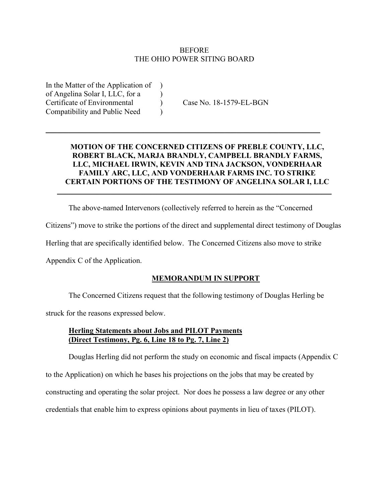### **BEFORE** THE OHIO POWER SITING BOARD

In the Matter of the Application of ) of Angelina Solar I, LLC, for a ) Certificate of Environmental ) Case No. 18-1579-EL-BGN Compatibility and Public Need )

### **MOTION OF THE CONCERNED CITIZENS OF PREBLE COUNTY, LLC, ROBERT BLACK, MARJA BRANDLY, CAMPBELL BRANDLY FARMS, LLC, MICHAEL IRWIN, KEVIN AND TINA JACKSON, VONDERHAAR FAMILY ARC, LLC, AND VONDERHAAR FARMS INC. TO STRIKE CERTAIN PORTIONS OF THE TESTIMONY OF ANGELINA SOLAR I, LLC**

 $\mathcal{L}_\text{max} = \mathcal{L}_\text{max} = \mathcal{L}_\text{max} = \mathcal{L}_\text{max} = \mathcal{L}_\text{max} = \mathcal{L}_\text{max} = \mathcal{L}_\text{max} = \mathcal{L}_\text{max} = \mathcal{L}_\text{max} = \mathcal{L}_\text{max} = \mathcal{L}_\text{max} = \mathcal{L}_\text{max} = \mathcal{L}_\text{max} = \mathcal{L}_\text{max} = \mathcal{L}_\text{max} = \mathcal{L}_\text{max} = \mathcal{L}_\text{max} = \mathcal{L}_\text{max} = \mathcal{$ 

The above-named Intervenors (collectively referred to herein as the "Concerned

 $\overline{\phantom{a}}$  , and the contribution of the contribution of the contribution of the contribution of the contribution of the contribution of the contribution of the contribution of the contribution of the contribution of the

Citizens") move to strike the portions of the direct and supplemental direct testimony of Douglas

Herling that are specifically identified below. The Concerned Citizens also move to strike

Appendix C of the Application.

### **MEMORANDUM IN SUPPORT**

The Concerned Citizens request that the following testimony of Douglas Herling be

struck for the reasons expressed below.

### **Herling Statements about Jobs and PILOT Payments (Direct Testimony, Pg. 6, Line 18 to Pg. 7, Line 2)**

Douglas Herling did not perform the study on economic and fiscal impacts (Appendix C

to the Application) on which he bases his projections on the jobs that may be created by

constructing and operating the solar project. Nor does he possess a law degree or any other

credentials that enable him to express opinions about payments in lieu of taxes (PILOT).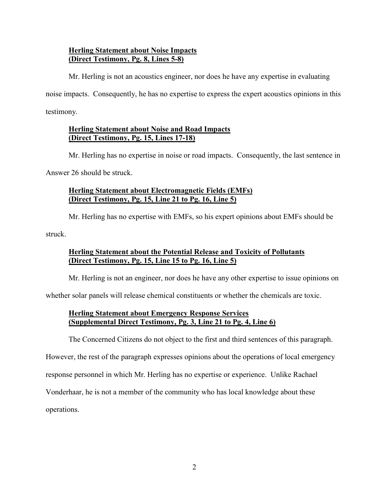## **Herling Statement about Noise Impacts (Direct Testimony, Pg. 8, Lines 5-8)**

Mr. Herling is not an acoustics engineer, nor does he have any expertise in evaluating

noise impacts. Consequently, he has no expertise to express the expert acoustics opinions in this

testimony.

# **Herling Statement about Noise and Road Impacts (Direct Testimony, Pg. 15, Lines 17-18)**

Mr. Herling has no expertise in noise or road impacts. Consequently, the last sentence in

Answer 26 should be struck.

## **Herling Statement about Electromagnetic Fields (EMFs) (Direct Testimony, Pg. 15, Line 21 to Pg. 16, Line 5)**

Mr. Herling has no expertise with EMFs, so his expert opinions about EMFs should be

struck.

# **Herling Statement about the Potential Release and Toxicity of Pollutants (Direct Testimony, Pg. 15, Line 15 to Pg. 16, Line 5)**

Mr. Herling is not an engineer, nor does he have any other expertise to issue opinions on

whether solar panels will release chemical constituents or whether the chemicals are toxic.

## **Herling Statement about Emergency Response Services (Supplemental Direct Testimony, Pg. 3, Line 21 to Pg. 4, Line 6)**

The Concerned Citizens do not object to the first and third sentences of this paragraph.

However, the rest of the paragraph expresses opinions about the operations of local emergency

response personnel in which Mr. Herling has no expertise or experience. Unlike Rachael

Vonderhaar, he is not a member of the community who has local knowledge about these

operations.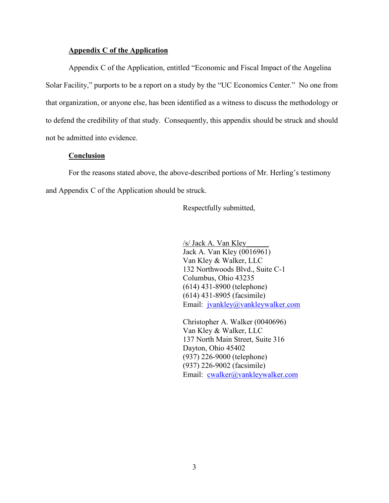#### **Appendix C of the Application**

Appendix C of the Application, entitled "Economic and Fiscal Impact of the Angelina Solar Facility," purports to be a report on a study by the "UC Economics Center." No one from that organization, or anyone else, has been identified as a witness to discuss the methodology or to defend the credibility of that study. Consequently, this appendix should be struck and should not be admitted into evidence.

#### **Conclusion**

For the reasons stated above, the above-described portions of Mr. Herling's testimony and Appendix C of the Application should be struck.

Respectfully submitted,

/s/ Jack A. Van Kley\_\_\_\_\_\_ Jack A. Van Kley (0016961) Van Kley & Walker, LLC 132 Northwoods Blvd., Suite C-1 Columbus, Ohio 43235 (614) 431-8900 (telephone) (614) 431-8905 (facsimile) Email: jvankley@vankleywalker.com

Christopher A. Walker (0040696) Van Kley & Walker, LLC 137 North Main Street, Suite 316 Dayton, Ohio 45402 (937) 226-9000 (telephone) (937) 226-9002 (facsimile) Email: cwalker@vankleywalker.com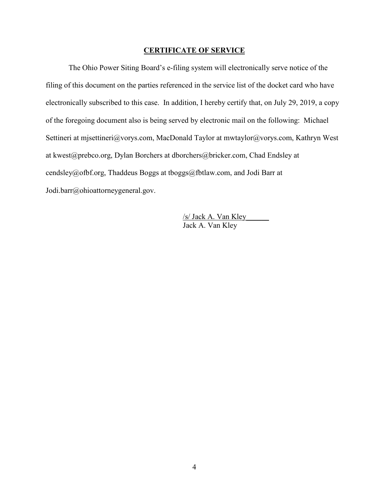#### **CERTIFICATE OF SERVICE**

The Ohio Power Siting Board's e-filing system will electronically serve notice of the filing of this document on the parties referenced in the service list of the docket card who have electronically subscribed to this case. In addition, I hereby certify that, on July 29, 2019, a copy of the foregoing document also is being served by electronic mail on the following: Michael Settineri at mjsettineri@vorys.com, MacDonald Taylor at mwtaylor@vorys.com, Kathryn West at kwest@prebco.org, Dylan Borchers at dborchers@bricker.com, Chad Endsley at cendsley@ofbf.org, Thaddeus Boggs at tboggs@fbtlaw.com, and Jodi Barr at Jodi.barr@ohioattorneygeneral.gov.

> /s/ Jack A. Van Kley\_\_\_\_\_\_ Jack A. Van Kley